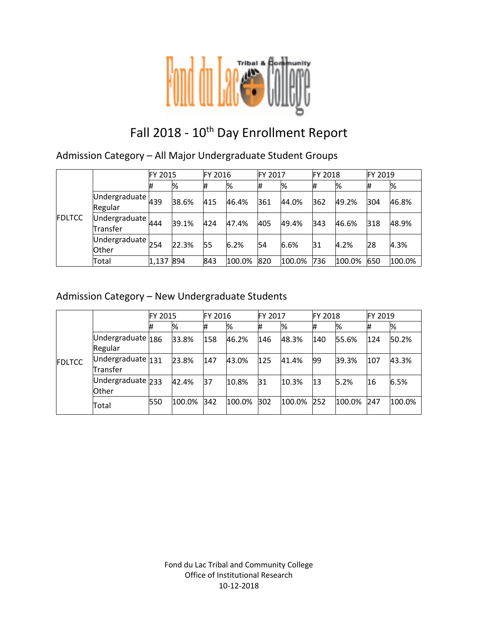

# Fall 2018 - 10<sup>th</sup> Day Enrollment Report

Admission Category – All Major Undergraduate Student Groups

|               |                                                         | FY 2015 |       | <b>FY 2016</b> |        | FY 2017 |        | <b>FY 2018</b> |        | FY 2019 |        |
|---------------|---------------------------------------------------------|---------|-------|----------------|--------|---------|--------|----------------|--------|---------|--------|
|               |                                                         | #       | %     | #              | %      | #       | %      | l#             | %      | #       | %      |
| <b>FDLTCC</b> | Undergraduate $_{439}$<br>Regular                       |         | 38.6% | 415            | 46.4%  | 361     | 44.0%  | 362            | 49.2%  | 304     | 46.8%  |
|               | Undergraduate $444$<br>Transfer                         |         | 39.1% | 424            | 47.4%  | 405     | 49.4%  | 343            | 46.6%  | 318     | 48.9%  |
|               | $\overline{\textsf{Undergraduate}}$ 254<br><b>Other</b> |         | 22.3% | 55             | 6.2%   | 54      | 6.6%   | 31             | 4.2%   | 28      | 4.3%   |
|               | Total                                                   | 1,137   | 894   | 843            | 100.0% | 820     | 100.0% | 736            | 100.0% | 650     | 100.0% |

### Admission Category – New Undergraduate Students

|               |                               | FY 2015 |        | FY 2016 |        | <b>FY 2017</b> |        | <b>FY 2018</b> |        | FY 2019 |        |
|---------------|-------------------------------|---------|--------|---------|--------|----------------|--------|----------------|--------|---------|--------|
| <b>FDLTCC</b> |                               | 11      | %      |         | %      | #              | %      | #              | %      | #       | %      |
|               | Undergraduate 186<br>Regular  |         | 33.8%  | 158     | 46.2%  | 146            | 48.3%  | 140            | 55.6%  | 124     | 50.2%  |
|               | Undergraduate 131<br>Transfer |         | 23.8%  | 147     | 43.0%  | 125            | 41.4%  | 99             | 39.3%  | 107     | 43.3%  |
|               | Undergraduate 233<br>Other    |         | 42.4%  | 37      | 10.8%  | 31             | 10.3%  | 13             | 5.2%   | 16      | 6.5%   |
|               | Total                         | 550     | 100.0% | 342     | 100.0% | 302            | 100.0% | 252            | 100.0% | 247     | 100.0% |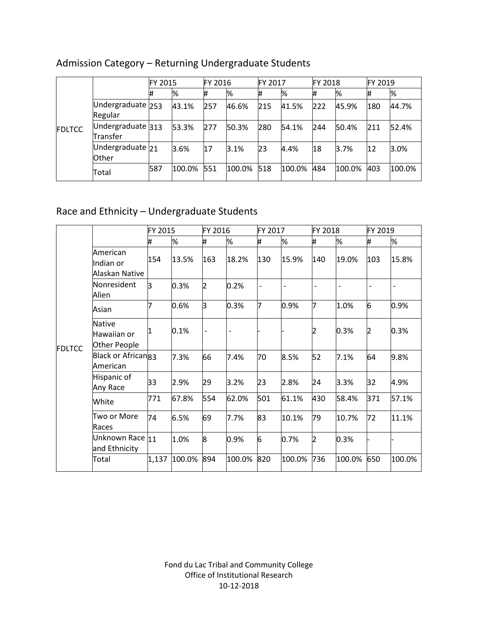|               |                                 | <b>FY 2015</b> |        | FY 2016 |        | FY 2017 |        | <b>FY 2018</b> |        | FY 2019 |        |
|---------------|---------------------------------|----------------|--------|---------|--------|---------|--------|----------------|--------|---------|--------|
| <b>FDLTCC</b> |                                 | 1#             | %      |         | %      | #       | %      | #              | %      |         | %      |
|               | Undergraduate 253<br>Regular    |                | 43.1%  | 257     | 46.6%  | 215     | 41.5%  | 222            | 45.9%  | 180     | 44.7%  |
|               | Undergraduate $313$<br>Transfer |                | 53.3%  | 277     | 50.3%  | 280     | 54.1%  | 244            | 50.4%  | 211     | 52.4%  |
|               | Undergraduate $21$<br>Other     |                | 3.6%   | 17      | 3.1%   | 23      | 4.4%   | 18             | 3.7%   | 12      | 3.0%   |
|               | Total                           | 587            | 100.0% | 551     | 100.0% | 518     | 100.0% | 484            | 100.0% | 403     | 100.0% |

# Admission Category – Returning Undergraduate Students

# Race and Ethnicity – Undergraduate Students

|               |                                              | FY 2015 |        | FY 2016                  |                | FY 2017 |        | FY 2018 |        | FY 2019 |        |
|---------------|----------------------------------------------|---------|--------|--------------------------|----------------|---------|--------|---------|--------|---------|--------|
|               |                                              | #       | %      | #                        | %              | #       | %      | #       | %      | #       | %      |
|               | American<br>Indian or<br>Alaskan Native      | 154     | 13.5%  | 163                      | 18.2%          | 130     | 15.9%  | 140     | 19.0%  | 103     | 15.8%  |
|               | Nonresident<br>Alien                         | l3      | 0.3%   | 2                        | 0.2%           |         |        |         |        |         |        |
|               | Asian                                        |         | 0.6%   | lЗ                       | 0.3%           | 7       | 0.9%   | 17      | 1.0%   | 6       | 0.9%   |
| <b>FDLTCC</b> | <b>Native</b><br>Hawaiian or<br>Other People |         | 0.1%   | $\overline{\phantom{a}}$ | $\overline{a}$ |         |        |         | 0.3%   | 2       | 0.3%   |
|               | Black or African <sub>83</sub><br>American   |         | 7.3%   | 66                       | 7.4%           | 70      | 8.5%   | 52      | 7.1%   | 64      | 9.8%   |
|               | Hispanic of<br>Any Race                      | 33      | 2.9%   | 29                       | 3.2%           | 23      | 2.8%   | 24      | 3.3%   | 32      | 4.9%   |
|               | White                                        | 771     | 67.8%  | 554                      | 62.0%          | 501     | 61.1%  | 430     | 58.4%  | 371     | 57.1%  |
|               | Two or More<br>Races                         | 74      | 6.5%   | 69                       | 7.7%           | 83      | 10.1%  | 79      | 10.7%  | 72      | 11.1%  |
|               | Unknown Race 11<br>and Ethnicity             |         | 1.0%   | 8                        | 0.9%           | 6       | 0.7%   | 2       | 0.3%   |         |        |
|               | Total                                        | 1,137   | 100.0% | 894                      | 100.0%         | 820     | 100.0% | 736     | 100.0% | 650     | 100.0% |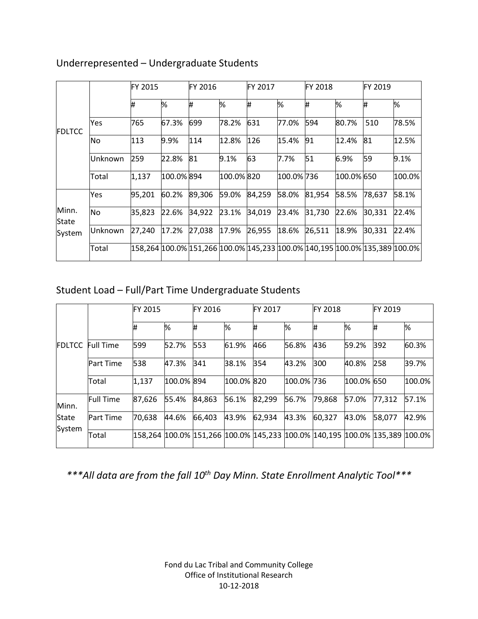|                |           | FY 2015 |            | FY 2016                                                                    |            | FY 2017 |            | <b>IFY 2018</b> |            | FY 2019 |        |
|----------------|-----------|---------|------------|----------------------------------------------------------------------------|------------|---------|------------|-----------------|------------|---------|--------|
| FDLTCC         |           | #       | %          | #                                                                          | %          | Ħ.      | %          | #               | %          | Ħ.      | %      |
|                | Yes       | 765     | 67.3%      | 699                                                                        | 78.2%      | 631     | 77.0%      | 594             | 80.7%      | 510     | 78.5%  |
|                | No        | 113     | 9.9%       | 114                                                                        | 12.8%      | 126     | 15.4%      | 91              | 12.4%      | 81      | 12.5%  |
|                | Unknown   | 259     | 22.8%      | 81                                                                         | 9.1%       | 63      | 7.7%       | 51              | 6.9%       | 59      | 9.1%   |
|                | Total     | 1,137   | 100.0% 894 |                                                                            | 100.0% 820 |         | 100.0% 736 |                 | 100.0% 650 |         | 100.0% |
|                | Yes       | 95,201  | 60.2%      | 89,306                                                                     | 59.0%      | 84,259  | 58.0%      | 81,954          | 58.5%      | 78,637  | 58.1%  |
| Minn.<br>State | <b>No</b> | 35,823  | 22.6%      | 34,922                                                                     | 23.1%      | 34,019  | 23.4%      | 31,730          | 22.6%      | 30,331  | 22.4%  |
| System         | lUnknown  | 27,240  | 17.2%      | 27,038                                                                     | 17.9%      | 26,955  | 18.6%      | 26,511          | 18.9%      | 30,331  | 22.4%  |
|                | Total     |         |            | 158,264 100.0% 151,266 100.0% 145,233 100.0% 140,195 100.0% 135,389 100.0% |            |         |            |                 |            |         |        |

### Underrepresented – Undergraduate Students

# Student Load – Full/Part Time Undergraduate Students

|               | <b>FY 2015</b>   |        | FY 2016    |                                                                                     |            | <b>FY 2017</b> |            | <b>FY 2018</b> |            | FY 2019 |        |
|---------------|------------------|--------|------------|-------------------------------------------------------------------------------------|------------|----------------|------------|----------------|------------|---------|--------|
|               |                  | #      | %          | #                                                                                   | %          | #              | %          | #              | %          | #       | %      |
| <b>FDLTCC</b> | <b>Full Time</b> | 599    | 52.7%      | 553                                                                                 | 61.9%      | 466            | 56.8%      | 436            | 59.2%      | 392     | 60.3%  |
|               | <b>Part Time</b> | 538    | 47.3%      | 341                                                                                 | 38.1%      | 354            | 43.2%      | 300            | 40.8%      | 258     | 39.7%  |
|               | Total            | 1,137  | 100.0% 894 |                                                                                     | 100.0% 820 |                | 100.0% 736 |                | 100.0% 650 |         | 100.0% |
| Minn.         | <b>Full Time</b> | 87,626 | 55.4%      | 84.863                                                                              | 56.1%      | 82,299         | 56.7%      | 79,868         | 57.0%      | 77,312  | 57.1%  |
| State         | <b>Part Time</b> | 70,638 | 44.6%      | 66,403                                                                              | 43.9%      | 62,934         | 43.3%      | 60,327         | 43.0%      | 58,077  | 42.9%  |
| System        | Total            |        |            | 158,264  100.0%  151,266  100.0%  145,233  100.0%  140,195  100.0%  135,389  100.0% |            |                |            |                |            |         |        |

*\*\*\*All data are from the fall 10th Day Minn. State Enrollment Analytic Tool\*\*\**